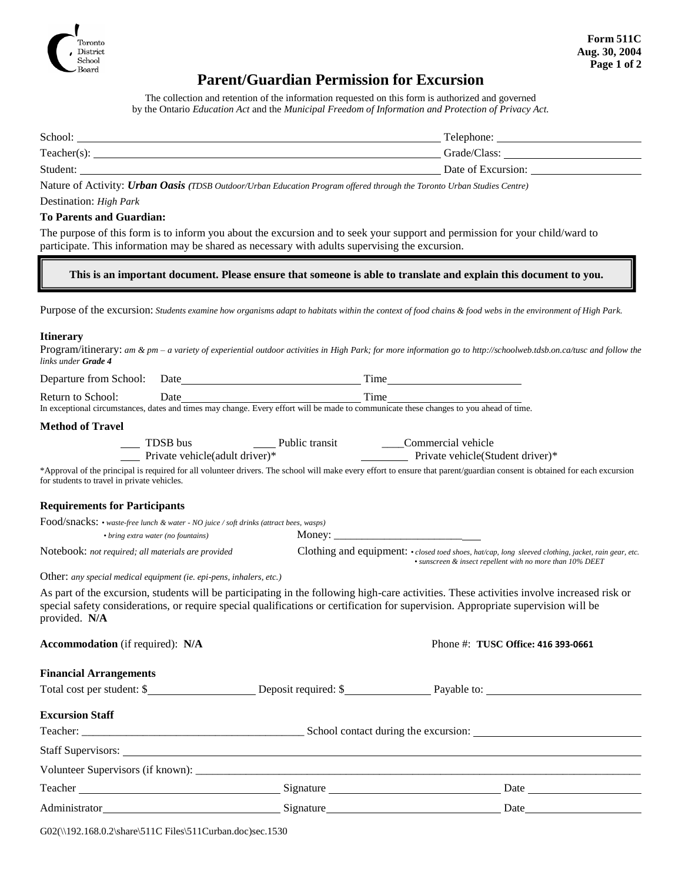

# **Parent/Guardian Permission for Excursion**

The collection and retention of the information requested on this form is authorized and governed by the Ontario *Education Act* and the *Municipal Freedom of Information and Protection of Privacy Act.*

| School:        | Telephone:         |
|----------------|--------------------|
| $Teacher(s)$ : | Grade/Class:       |
| Student:       | Date of Excursion: |

Nature of Activity: *Urban Oasis (TDSB Outdoor/Urban Education Program offered through the Toronto Urban Studies Centre)*

### Destination: *High Park*

#### **To Parents and Guardian:**

The purpose of this form is to inform you about the excursion and to seek your support and permission for your child/ward to participate. This information may be shared as necessary with adults supervising the excursion.

**This is an important document. Please ensure that someone is able to translate and explain this document to you.**

Purpose of the excursion: *Students examine how organisms adapt to habitats within the context of food chains & food webs in the environment of High Park.*

#### **Itinerary**

Program/itinerary: *am & pm – a variety of experiential outdoor activities in High Park; for more information go to http://schoolweb.tdsb.on.ca/tusc and follow the links under Grade 4*

| Departure from School: | ⊅ate | ime   |
|------------------------|------|-------|
| Return to School:      | Jate | . ime |

In exceptional circumstances, dates and times may change. Every effort will be made to communicate these changes to you ahead of time.

#### **Method of Travel**

| TDSB bus                        | Public transit | Commercial vehicle                |  |
|---------------------------------|----------------|-----------------------------------|--|
| Private vehicle (adult driver)* |                | Private vehicle (Student driver)* |  |

\*Approval of the principal is required for all volunteer drivers. The school will make every effort to ensure that parent/guardian consent is obtained for each excursion for students to travel in private vehicles.

#### **Requirements for Participants**

| Food/snacks: • waste-free lunch & water - NO juice / soft drinks (attract bees, wasps) |                                                                                                            |
|----------------------------------------------------------------------------------------|------------------------------------------------------------------------------------------------------------|
| • bring extra water (no fountains)                                                     | Money:                                                                                                     |
| Notebook: not required; all materials are provided                                     | Clothing and equipment: $\cdot$ closed toed shoes, hat/cap, long sleeved clothing, jacket, rain gear, etc. |
|                                                                                        | • sunscreen & insect repellent with no more than 10% DEET                                                  |

Other: *any special medical equipment (ie. epi-pens, inhalers, etc.)*

As part of the excursion, students will be participating in the following high-care activities. These activities involve increased risk or special safety considerations, or require special qualifications or certification for supervision. Appropriate supervision will be provided. **N/A**

| Accommodation (if required): N/A |  |  |
|----------------------------------|--|--|
|----------------------------------|--|--|

**Accommodation** (if required): **N/A** Phone #: **TUSC Office: 416 393-0661**

| <b>Financial Arrangements</b> |  |  |
|-------------------------------|--|--|
|-------------------------------|--|--|

| Total cost per student: \$ |           |                                      |  |
|----------------------------|-----------|--------------------------------------|--|
| <b>Excursion Staff</b>     |           |                                      |  |
|                            |           | School contact during the excursion: |  |
|                            |           |                                      |  |
|                            |           |                                      |  |
|                            |           |                                      |  |
| Administrator              | Signature | Date                                 |  |

| G02(\\192.168.0.2\share\511C Files\511Curban.doc)sec.1530 |  |  |  |  |
|-----------------------------------------------------------|--|--|--|--|
|-----------------------------------------------------------|--|--|--|--|